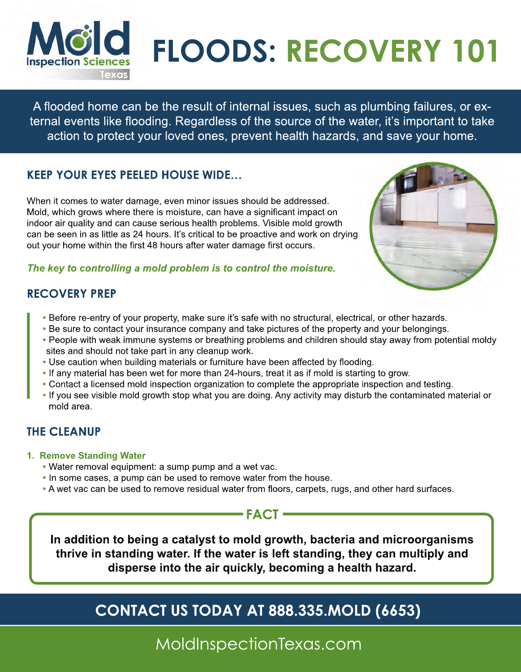

# **FLOODS: RECOVERY 101**

A flooded home can be the result of internal issues, such as plumbing failures, or external events like flooding. Regardless of the source of the water, it's important to take action to protect your loved ones, prevent health hazards, and save your home.

## **KEEP YOUR EYES PEELED HOUSE WIDE…**

When it comes to water damage, even minor issues should be addressed. Mold, which grows where there is moisture, can have a significant impact on indoor air quality and can cause serious health problems. Visible mold growth can be seen in as little as 24 hours. It's critical to be proactive and work on drying out your home within the first 48 hours after water damage first occurs.



#### *The key to controlling a mold problem is to control the moisture.*

#### **RECOVERY PREP**

- Before re-entry of your property, make sure it's safe with no structural, electrical, or other hazards.
- Be sure to contact your insurance company and take pictures of the property and your belongings.
- People with weak immune systems or breathing problems and children should stay away from potential moldy sites and should not take part in any cleanup work.
- Use caution when building materials or furniture have been affected by flooding.
- If any material has been wet for more than 24-hours, treat it as if mold is starting to grow.
- Contact a licensed mold inspection organization to complete the appropriate inspection and testing.
- If you see visible mold growth stop what you are doing. Any activity may disturb the contaminated material or mold area.

# **THE CLEANUP**

- **1. Remove Standing Water**
	- Water removal equipment: a sump pump and a wet vac.
	- In some cases, a pump can be used to remove water from the house.
	- A wet vac can be used to remove residual water from floors, carpets, rugs, and other hard surfaces.

## **FACT**

**In addition to being a catalyst to mold growth, bacteria and microorganisms thrive in standing water. If the water is left standing, they can multiply and disperse into the air quickly, becoming a health hazard.**

# **CONTACT US TODAY AT 888.335.MOLD (6653)**

MoldInspectionTexas.com